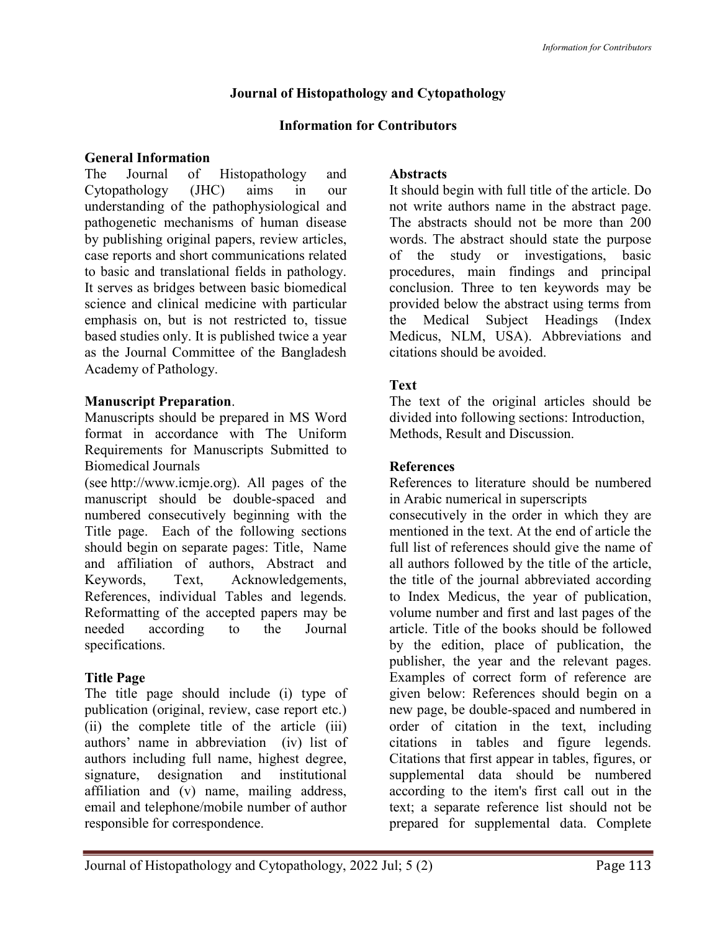# Journal of Histopathology and Cytopathology

### Information for Contributors

#### General Information

The Journal of Histopathology and Cytopathology (JHC) aims in our understanding of the pathophysiological and pathogenetic mechanisms of human disease by publishing original papers, review articles, case reports and short communications related to basic and translational fields in pathology. It serves as bridges between basic biomedical science and clinical medicine with particular emphasis on, but is not restricted to, tissue based studies only. It is published twice a year as the Journal Committee of the Bangladesh Academy of Pathology.

### Manuscript Preparation.

Manuscripts should be prepared in MS Word format in accordance with The Uniform Requirements for Manuscripts Submitted to Biomedical Journals

(see http://www.icmje.org). All pages of the manuscript should be double-spaced and numbered consecutively beginning with the Title page. Each of the following sections should begin on separate pages: Title, Name and affiliation of authors, Abstract and Keywords, Text, Acknowledgements, References, individual Tables and legends. Reformatting of the accepted papers may be needed according to the Journal specifications.

# Title Page

The title page should include (i) type of publication (original, review, case report etc.) (ii) the complete title of the article (iii) authors' name in abbreviation (iv) list of authors including full name, highest degree, signature, designation and institutional affiliation and (v) name, mailing address, email and telephone/mobile number of author responsible for correspondence.

### **Abstracts**

It should begin with full title of the article. Do not write authors name in the abstract page. The abstracts should not be more than 200 words. The abstract should state the purpose of the study or investigations, basic procedures, main findings and principal conclusion. Three to ten keywords may be provided below the abstract using terms from the Medical Subject Headings (Index Medicus, NLM, USA). Abbreviations and citations should be avoided.

# Text

The text of the original articles should be divided into following sections: Introduction, Methods, Result and Discussion.

### **References**

References to literature should be numbered in Arabic numerical in superscripts

consecutively in the order in which they are mentioned in the text. At the end of article the full list of references should give the name of all authors followed by the title of the article, the title of the journal abbreviated according to Index Medicus, the year of publication, volume number and first and last pages of the article. Title of the books should be followed by the edition, place of publication, the publisher, the year and the relevant pages. Examples of correct form of reference are given below: References should begin on a new page, be double-spaced and numbered in order of citation in the text, including citations in tables and figure legends. Citations that first appear in tables, figures, or supplemental data should be numbered according to the item's first call out in the text; a separate reference list should not be prepared for supplemental data. Complete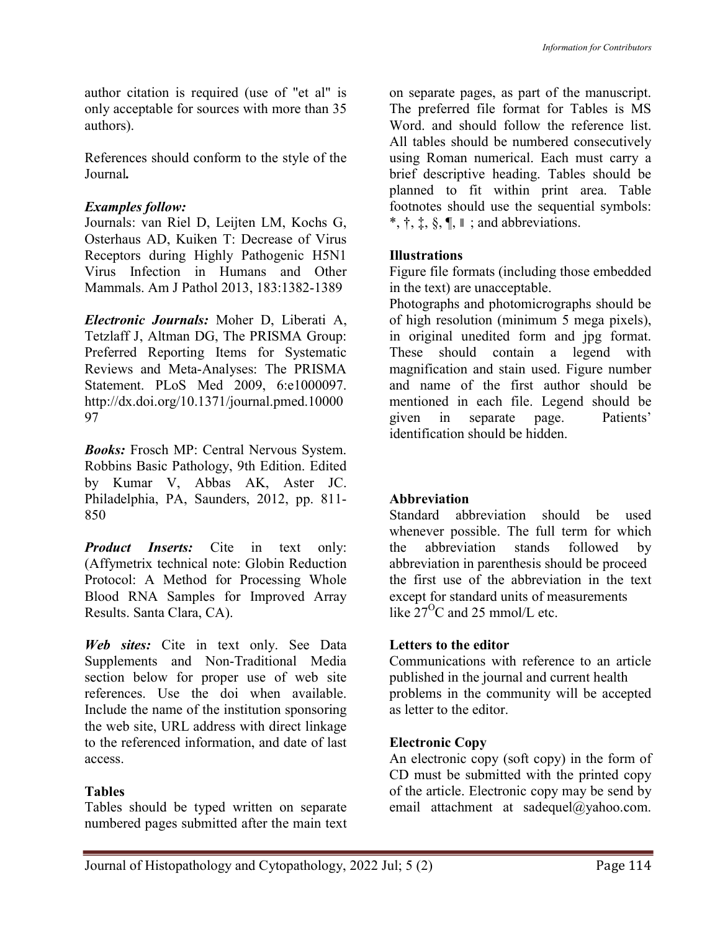author citation is required (use of "et al" is only acceptable for sources with more than 35 authors).

References should conform to the style of the Journal.

### Examples follow:

Journals: van Riel D, Leijten LM, Kochs G, Osterhaus AD, Kuiken T: Decrease of Virus Receptors during Highly Pathogenic H5N1 Virus Infection in Humans and Other Mammals. Am J Pathol 2013, 183:1382-1389

Electronic Journals: Moher D, Liberati A, Tetzlaff J, Altman DG, The PRISMA Group: Preferred Reporting Items for Systematic Reviews and Meta-Analyses: The PRISMA Statement. PLoS Med 2009, 6:e1000097. http://dx.doi.org/10.1371/journal.pmed.10000 97

**Books:** Frosch MP: Central Nervous System. Robbins Basic Pathology, 9th Edition. Edited by Kumar V, Abbas AK, Aster JC. Philadelphia, PA, Saunders, 2012, pp. 811- 850

**Product Inserts:** Cite in text only: (Affymetrix technical note: Globin Reduction Protocol: A Method for Processing Whole Blood RNA Samples for Improved Array Results. Santa Clara, CA).

Web sites: Cite in text only. See Data Supplements and Non-Traditional Media section below for proper use of web site references. Use the doi when available. Include the name of the institution sponsoring the web site, URL address with direct linkage to the referenced information, and date of last access.

### Tables

Tables should be typed written on separate numbered pages submitted after the main text on separate pages, as part of the manuscript. The preferred file format for Tables is MS Word. and should follow the reference list. All tables should be numbered consecutively using Roman numerical. Each must carry a brief descriptive heading. Tables should be planned to fit within print area. Table footnotes should use the sequential symbols: \*,  $\dagger$ ,  $\dagger$ ,  $\S$ ,  $\P$ ,  $\parallel$  ; and abbreviations.

### **Illustrations**

Figure file formats (including those embedded in the text) are unacceptable.

Photographs and photomicrographs should be of high resolution (minimum 5 mega pixels), in original unedited form and jpg format. These should contain a legend with magnification and stain used. Figure number and name of the first author should be mentioned in each file. Legend should be given in separate page. Patients' identification should be hidden.

### Abbreviation

Standard abbreviation should be used whenever possible. The full term for which the abbreviation stands followed by abbreviation in parenthesis should be proceed the first use of the abbreviation in the text except for standard units of measurements like  $27^{\circ}$ C and 25 mmol/L etc.

### Letters to the editor

Communications with reference to an article published in the journal and current health problems in the community will be accepted as letter to the editor.

### Electronic Copy

An electronic copy (soft copy) in the form of CD must be submitted with the printed copy of the article. Electronic copy may be send by email attachment at sadequel@yahoo.com.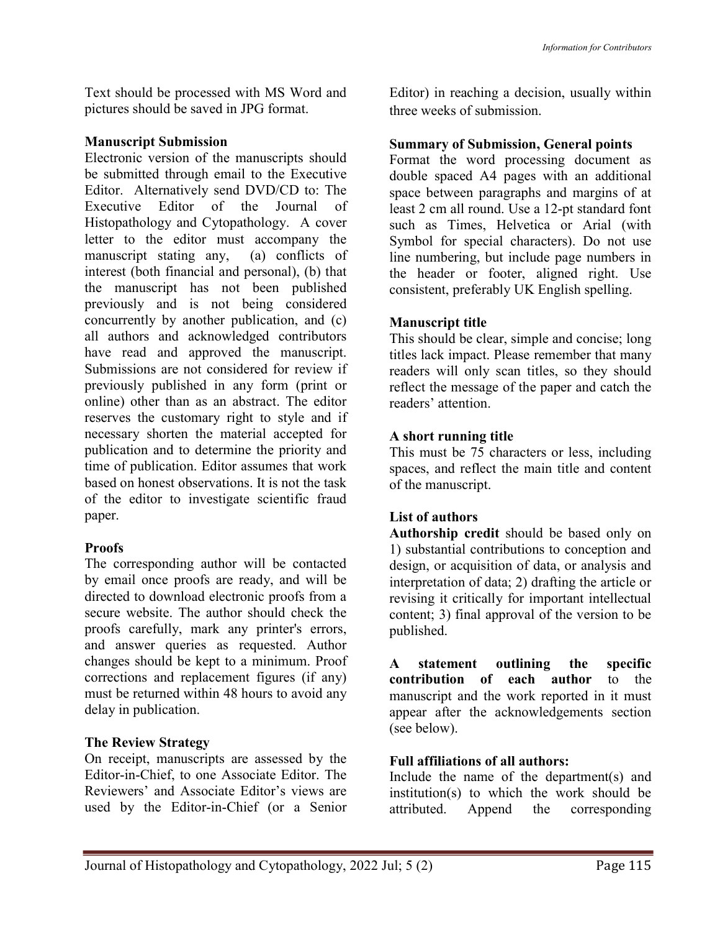Text should be processed with MS Word and pictures should be saved in JPG format.

### Manuscript Submission

Electronic version of the manuscripts should be submitted through email to the Executive Editor. Alternatively send DVD/CD to: The Executive Editor of the Journal of Histopathology and Cytopathology. A cover letter to the editor must accompany the<br>manuscript stating any, (a) conflicts of manuscript stating any, interest (both financial and personal), (b) that the manuscript has not been published previously and is not being considered concurrently by another publication, and (c) all authors and acknowledged contributors have read and approved the manuscript. Submissions are not considered for review if previously published in any form (print or online) other than as an abstract. The editor reserves the customary right to style and if necessary shorten the material accepted for publication and to determine the priority and time of publication. Editor assumes that work based on honest observations. It is not the task of the editor to investigate scientific fraud paper.

# **Proofs**

The corresponding author will be contacted by email once proofs are ready, and will be directed to download electronic proofs from a secure website. The author should check the proofs carefully, mark any printer's errors, and answer queries as requested. Author changes should be kept to a minimum. Proof corrections and replacement figures (if any) must be returned within 48 hours to avoid any delay in publication.

# The Review Strategy

On receipt, manuscripts are assessed by the Editor-in-Chief, to one Associate Editor. The Reviewers' and Associate Editor's views are used by the Editor-in-Chief (or a Senior Editor) in reaching a decision, usually within three weeks of submission.

# Summary of Submission, General points

Format the word processing document as double spaced A4 pages with an additional space between paragraphs and margins of at least 2 cm all round. Use a 12-pt standard font such as Times, Helvetica or Arial (with Symbol for special characters). Do not use line numbering, but include page numbers in the header or footer, aligned right. Use consistent, preferably UK English spelling.

# Manuscript title

This should be clear, simple and concise; long titles lack impact. Please remember that many readers will only scan titles, so they should reflect the message of the paper and catch the readers' attention.

# A short running title

This must be 75 characters or less, including spaces, and reflect the main title and content of the manuscript.

# List of authors

Authorship credit should be based only on 1) substantial contributions to conception and design, or acquisition of data, or analysis and interpretation of data; 2) drafting the article or revising it critically for important intellectual content; 3) final approval of the version to be published.

A statement outlining the specific contribution of each author to the manuscript and the work reported in it must appear after the acknowledgements section (see below).

# Full affiliations of all authors:

Include the name of the department(s) and institution(s) to which the work should be attributed. Append the corresponding